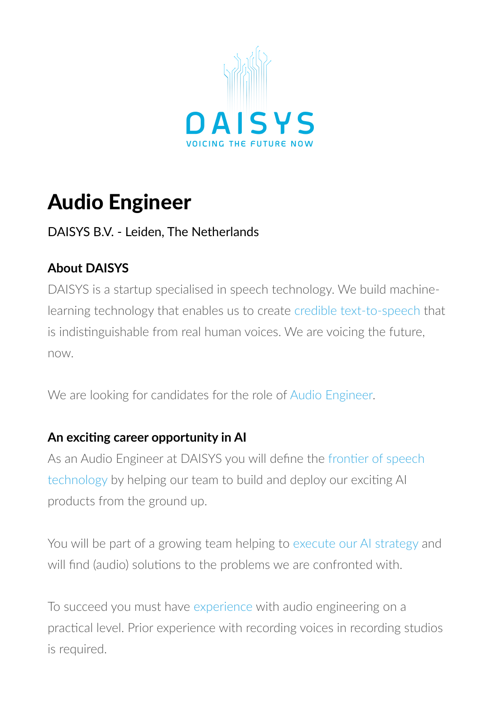

# Audio Engineer

# DAISYS B.V. - Leiden, The Netherlands

# **About DAISYS**

DAISYS is a startup specialised in speech technology. We build machinelearning technology that enables us to create credible text-to-speech that is indistinguishable from real human voices. We are voicing the future, now.

We are looking for candidates for the role of Audio Engineer.

# **An exciting career opportunity in AI**

As an Audio Engineer at DAISYS you will define the frontier of speech technology by helping our team to build and deploy our exciting AI products from the ground up.

You will be part of a growing team helping to execute our AI strategy and will find (audio) solutions to the problems we are confronted with.

To succeed you must have experience with audio engineering on a practical level. Prior experience with recording voices in recording studios is required.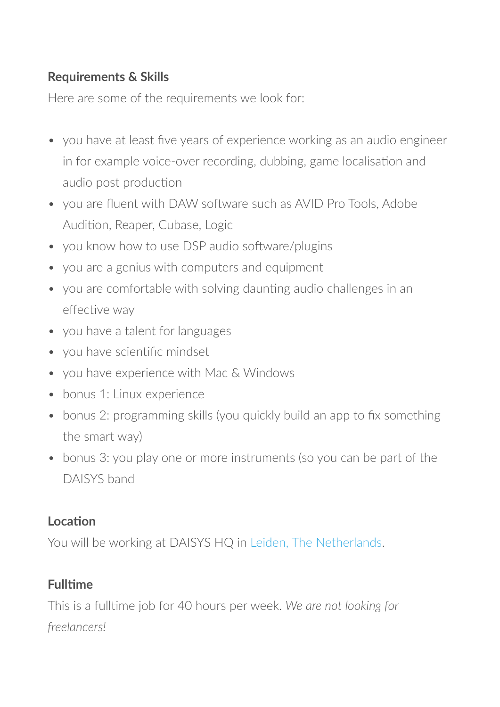#### **Requirements & Skills**

Here are some of the requirements we look for:

- you have at least five years of experience working as an audio engineer in for example voice-over recording, dubbing, game localisation and audio post production
- you are fluent with DAW software such as AVID Pro Tools, Adobe Audition, Reaper, Cubase, Logic
- you know how to use DSP audio software/plugins
- you are a genius with computers and equipment
- you are comfortable with solving daunting audio challenges in an effective way
- you have a talent for languages
- you have scientific mindset
- you have experience with Mac & Windows
- bonus 1: Linux experience
- bonus 2: programming skills (you quickly build an app to fix something the smart way)
- bonus 3: you play one or more instruments (so you can be part of the DAISYS band

#### **Location**

You will be working at DAISYS HQ in Leiden, The Netherlands.

## **Fulltime**

This is a fulltime job for 40 hours per week. *We are not looking for freelancers!*